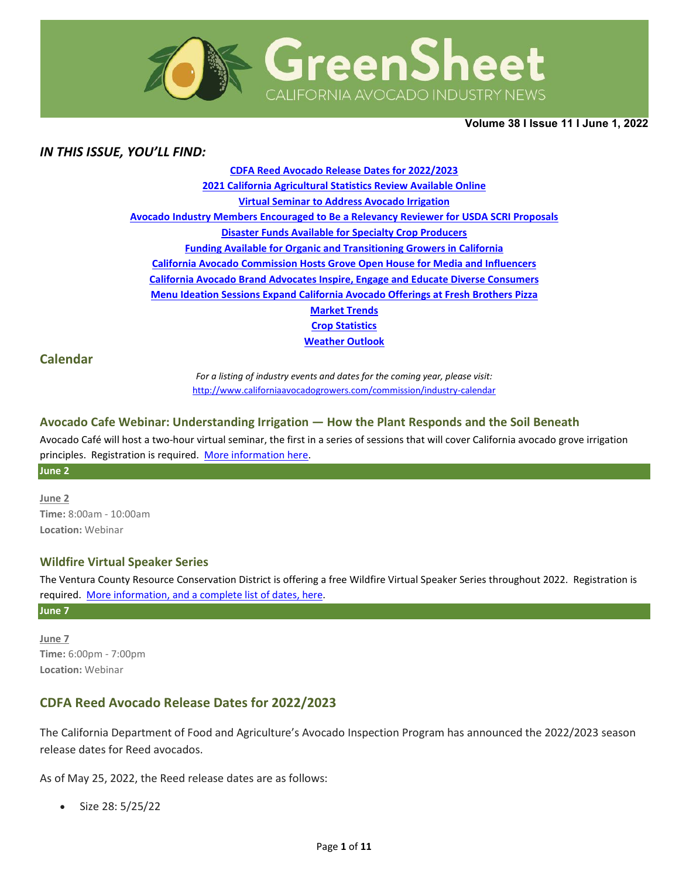

**Volume 38 Ι Issue 11 Ι June 1, 2022** 

## *IN THIS ISSUE, YOU'LL FIND:*

**[CDFA Reed Avocado Release Dates for 2022/2023](#page-0-0) [2021 California Agricultural Statistics Review Available Online](#page-1-0) [Virtual Seminar to Address Avocado Irrigation](#page-1-1) [Avocado Industry Members Encouraged to Be a Relevancy Reviewer for USDA SCRI Proposals](#page-1-2) [Disaster Funds Available for Specialty Crop Producers](#page-2-0) [Funding Available for Organic and Transitioning Growers in California](#page-3-0) [California Avocado Commission Hosts Grove Open House for Media and Influencers](#page-3-1) California Avocado [Brand Advocates Inspire, Engage and Educate Diverse Consumers](#page-4-0) [Menu Ideation Sessions Expand California Avocado Offerings at Fresh Brothers Pizza](#page-5-0) [Market Trends](#page-6-0) Crop [Statistics](#page-7-0) [Weather Outlook](#page-8-0)**

### **Calendar**

*For a listing of industry events and dates for the coming year, please visit:*  <http://www.californiaavocadogrowers.com/commission/industry-calendar>

#### **Avocado Cafe Webinar: Understanding Irrigation — How the Plant Responds and the Soil Beneath**

Avocado Café will host a two-hour virtual seminar, the first in a series of sessions that will cover California avocado grove irrigation principles. Registration is required. [More information here.](https://www.californiaavocadogrowers.com/event/avocado-cafe-webinar-understanding-irrigation-%E2%80%94-how-plant-responds-and-soil-beneath)

**June 2** 

**June 2 Time:** 8:00am - 10:00am **Location:** Webinar

### **Wildfire Virtual Speaker Series**

The Ventura County Resource Conservation District is offering a free Wildfire Virtual Speaker Series throughout 2022. Registration is required. [More information, and a complete list of dates,](https://www.californiaavocadogrowers.com/event/wildfire-virtual-speaker-series) here.

**June 7** 

**June 7 Time:** 6:00pm - 7:00pm **Location:** Webinar

## <span id="page-0-0"></span>**CDFA Reed Avocado Release Dates for 2022/2023**

The California Department of Food and Agriculture's Avocado Inspection Program has announced the 2022/2023 season release dates for Reed avocados.

As of May 25, 2022, the Reed release dates are as follows:

• Size 28: 5/25/22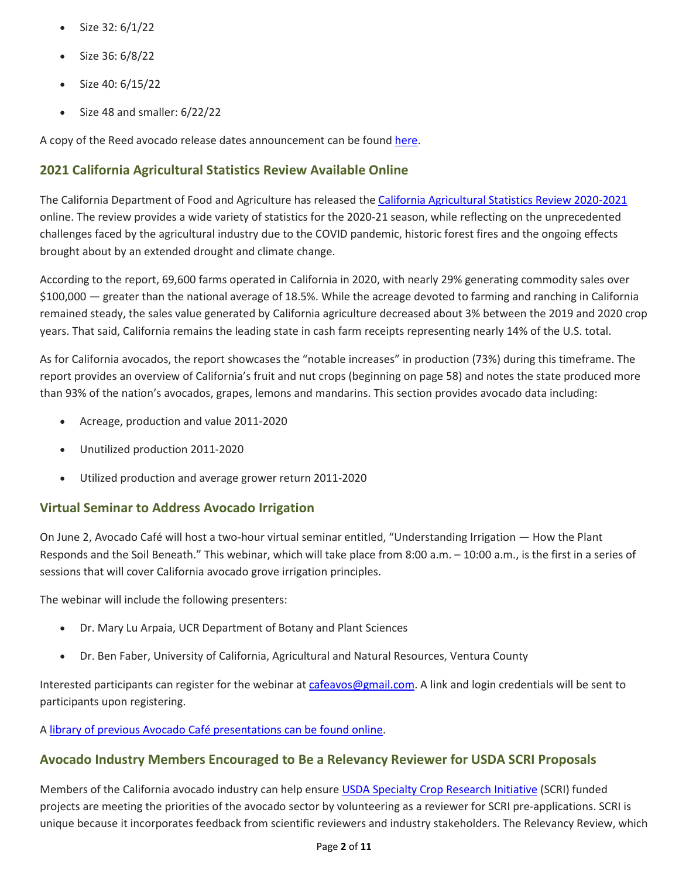- Size 32: 6/1/22
- Size 36: 6/8/22
- Size 40: 6/15/22
- Size 48 and smaller: 6/22/22

A copy of the Reed avocado release dates announcement can be found [here.](https://www.californiaavocadogrowers.com/sites/default/files/documents/2022-Reed-Avocado-Release-Dates.pdf)

## <span id="page-1-0"></span>**2021 California Agricultural Statistics Review Available Online**

The California Department of Food and Agriculture has released the [California Agricultural Statistics Review 2020-2021](https://www.cdfa.ca.gov/Statistics/PDFs/2021_Ag_Stats_Review.pdf) online. The review provides a wide variety of statistics for the 2020-21 season, while reflecting on the unprecedented challenges faced by the agricultural industry due to the COVID pandemic, historic forest fires and the ongoing effects brought about by an extended drought and climate change.

According to the report, 69,600 farms operated in California in 2020, with nearly 29% generating commodity sales over \$100,000 — greater than the national average of 18.5%. While the acreage devoted to farming and ranching in California remained steady, the sales value generated by California agriculture decreased about 3% between the 2019 and 2020 crop years. That said, California remains the leading state in cash farm receipts representing nearly 14% of the U.S. total.

As for California avocados, the report showcases the "notable increases" in production (73%) during this timeframe. The report provides an overview of California's fruit and nut crops (beginning on page 58) and notes the state produced more than 93% of the nation's avocados, grapes, lemons and mandarins. This section provides avocado data including:

- Acreage, production and value 2011-2020
- Unutilized production 2011-2020
- Utilized production and average grower return 2011-2020

## <span id="page-1-1"></span>**Virtual Seminar to Address Avocado Irrigation**

On June 2, Avocado Café will host a two-hour virtual seminar entitled, "Understanding Irrigation — How the Plant Responds and the Soil Beneath." This webinar, which will take place from 8:00 a.m. – 10:00 a.m., is the first in a series of sessions that will cover California avocado grove irrigation principles.

The webinar will include the following presenters:

- Dr. Mary Lu Arpaia, UCR Department of Botany and Plant Sciences
- Dr. Ben Faber, University of California, Agricultural and Natural Resources, Ventura County

Interested participants can register for the webinar a[t cafeavos@gmail.com.](mailto:cafeavos@gmail.com) A link and login credentials will be sent to participants upon registering.

A [library of previous Avocado Café presentations can be found online.](https://www.youtube.com/cha%20nnel/UCzPWhFppHFHWtU3br%20wf97Ww)

## <span id="page-1-2"></span>**Avocado Industry Members Encouraged to Be a Relevancy Reviewer for USDA SCRI Proposals**

Members of the California avocado industry can help ensure [USDA Specialty Crop Research Initiative](https://www.nifa.usda.gov/grants/funding-opportunities/specialty-crop-research-initiative-scri?msclkid=c216b463c80311ecaeab67b7c50e0e97) (SCRI) funded projects are meeting the priorities of the avocado sector by volunteering as a reviewer for SCRI pre-applications. SCRI is unique because it incorporates feedback from scientific reviewers and industry stakeholders. The Relevancy Review, which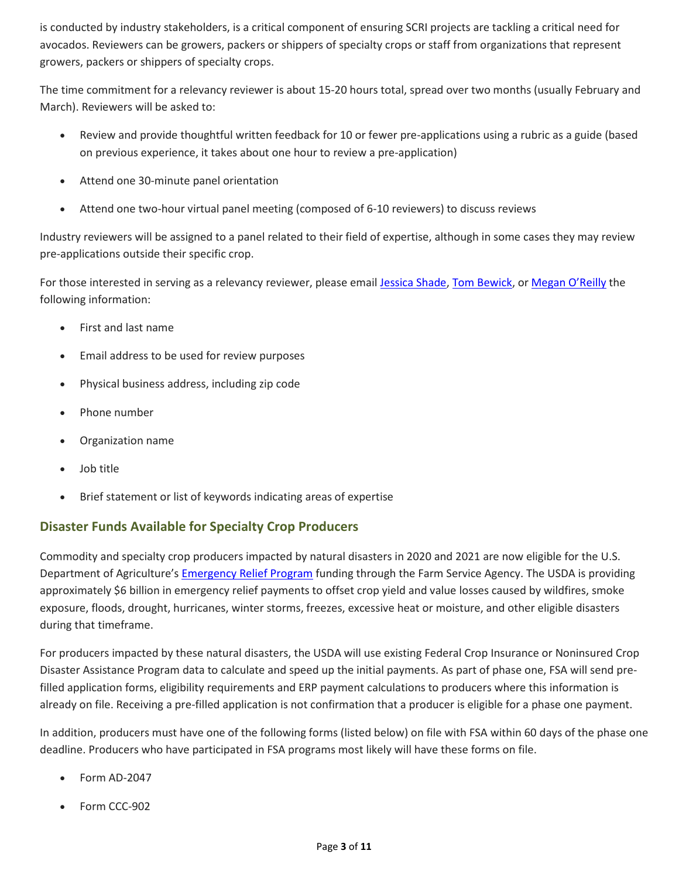is conducted by industry stakeholders, is a critical component of ensuring SCRI projects are tackling a critical need for avocados. Reviewers can be growers, packers or shippers of specialty crops or staff from organizations that represent growers, packers or shippers of specialty crops.

The time commitment for a relevancy reviewer is about 15-20 hours total, spread over two months (usually February and March). Reviewers will be asked to:

- Review and provide thoughtful written feedback for 10 or fewer pre-applications using a rubric as a guide (based on previous experience, it takes about one hour to review a pre-application)
- Attend one 30-minute panel orientation
- Attend one two-hour virtual panel meeting (composed of 6-10 reviewers) to discuss reviews

Industry reviewers will be assigned to a panel related to their field of expertise, although in some cases they may review pre-applications outside their specific crop.

For those interested in serving as a relevancy reviewer, please email [Jessica Shade,](mailto:jessica.shade@usda.gov) [Tom Bewick,](mailto:tbewick@usda.gov) or [Megan O'Reilly](mailto:megan.oreilly2@usda.gov) the following information:

- First and last name
- Email address to be used for review purposes
- Physical business address, including zip code
- Phone number
- Organization name
- Job title
- Brief statement or list of keywords indicating areas of expertise

## <span id="page-2-0"></span>**Disaster Funds Available for Specialty Crop Producers**

Commodity and specialty crop producers impacted by natural disasters in 2020 and 2021 are now eligible for the U.S. Department of Agriculture's [Emergency Relief Program](https://www.fsa.usda.gov/programs-and-services/emergency-relief/index) funding through the Farm Service Agency. The USDA is providing approximately \$6 billion in emergency relief payments to offset crop yield and value losses caused by wildfires, smoke exposure, floods, drought, hurricanes, winter storms, freezes, excessive heat or moisture, and other eligible disasters during that timeframe.

For producers impacted by these natural disasters, the USDA will use existing Federal Crop Insurance or Noninsured Crop Disaster Assistance Program data to calculate and speed up the initial payments. As part of phase one, FSA will send prefilled application forms, eligibility requirements and ERP payment calculations to producers where this information is already on file. Receiving a pre-filled application is not confirmation that a producer is eligible for a phase one payment.

In addition, producers must have one of the following forms (listed below) on file with FSA within 60 days of the phase one deadline. Producers who have participated in FSA programs most likely will have these forms on file.

- Form AD-2047
- Form CCC-902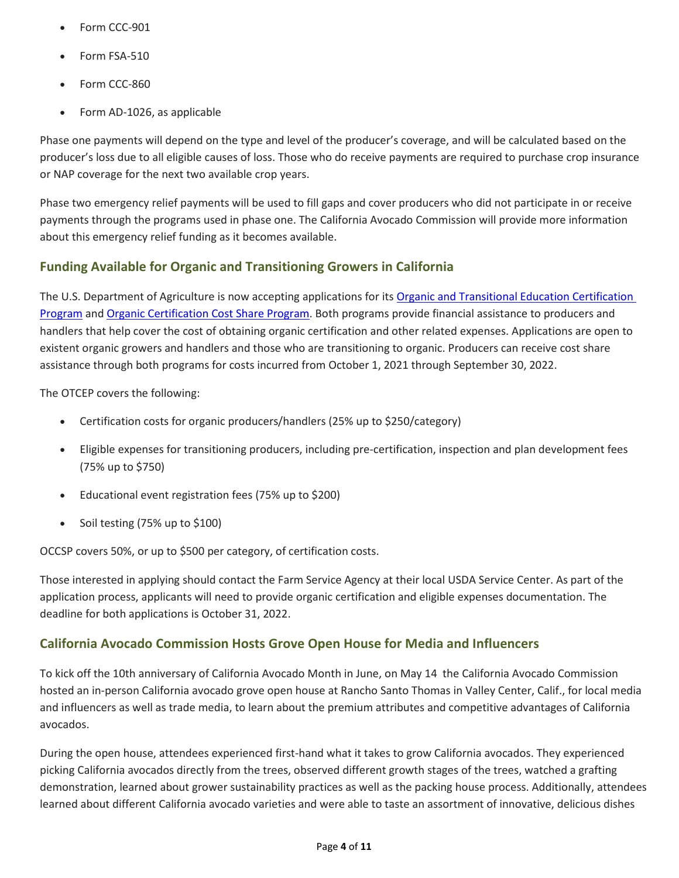- Form CCC-901
- Form FSA-510
- Form CCC-860
- Form AD-1026, as applicable

Phase one payments will depend on the type and level of the producer's coverage, and will be calculated based on the producer's loss due to all eligible causes of loss. Those who do receive payments are required to purchase crop insurance or NAP coverage for the next two available crop years.

Phase two emergency relief payments will be used to fill gaps and cover producers who did not participate in or receive payments through the programs used in phase one. The California Avocado Commission will provide more information about this emergency relief funding as it becomes available.

# <span id="page-3-0"></span>**Funding Available for Organic and Transitioning Growers in California**

The U.S. Department of Agriculture is now accepting applications for it[s Organic and Transitional Education Certification](https://www.farmers.gov/pandemic-assistance/otecp)  [Program](https://www.farmers.gov/pandemic-assistance/otecp) and [Organic Certification Cost Share Program.](https://www.fsa.usda.gov/programs-and-services/occsp/index) Both programs provide financial assistance to producers and handlers that help cover the cost of obtaining organic certification and other related expenses. Applications are open to existent organic growers and handlers and those who are transitioning to organic. Producers can receive cost share assistance through both programs for costs incurred from October 1, 2021 through September 30, 2022.

The OTCEP covers the following:

- Certification costs for organic producers/handlers (25% up to \$250/category)
- Eligible expenses for transitioning producers, including pre-certification, inspection and plan development fees (75% up to \$750)
- Educational event registration fees (75% up to \$200)
- Soil testing (75% up to \$100)

OCCSP covers 50%, or up to \$500 per category, of certification costs.

Those interested in applying should contact the Farm Service Agency at their local USDA Service Center. As part of the application process, applicants will need to provide organic certification and eligible expenses documentation. The deadline for both applications is October 31, 2022.

## <span id="page-3-1"></span>**California Avocado Commission Hosts Grove Open House for Media and Influencers**

To kick off the 10th anniversary of California Avocado Month in June, on May 14 the California Avocado Commission hosted an in-person California avocado grove open house at Rancho Santo Thomas in Valley Center, Calif., for local media and influencers as well as trade media, to learn about the premium attributes and competitive advantages of California avocados.

During the open house, attendees experienced first-hand what it takes to grow California avocados. They experienced picking California avocados directly from the trees, observed different growth stages of the trees, watched a grafting demonstration, learned about grower sustainability practices as well as the packing house process. Additionally, attendees learned about different California avocado varieties and were able to taste an assortment of innovative, delicious dishes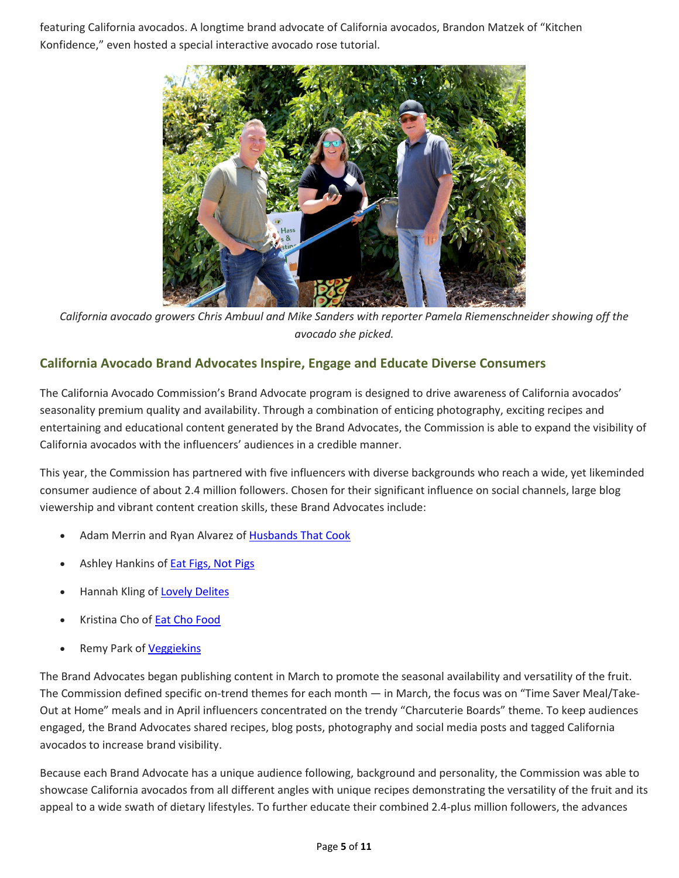featuring California avocados. A longtime brand advocate of California avocados, Brandon Matzek of "Kitchen Konfidence," even hosted a special interactive avocado rose tutorial.



*California avocado growers Chris Ambuul and Mike Sanders with reporter Pamela Riemenschneider showing off the avocado she picked.*

# <span id="page-4-0"></span>**California Avocado Brand Advocates Inspire, Engage and Educate Diverse Consumers**

The California Avocado Commission's Brand Advocate program is designed to drive awareness of California avocados' seasonality premium quality and availability. Through a combination of enticing photography, exciting recipes and entertaining and educational content generated by the Brand Advocates, the Commission is able to expand the visibility of California avocados with the influencers' audiences in a credible manner.

This year, the Commission has partnered with five influencers with diverse backgrounds who reach a wide, yet likeminded consumer audience of about 2.4 million followers. Chosen for their significant influence on social channels, large blog viewership and vibrant content creation skills, these Brand Advocates include:

- Adam Merrin and Ryan Alvarez o[f Husbands That Cook](https://www.husbandsthatcook.com/)
- Ashley Hankins of **Eat Figs, Not Pigs**
- Hannah Kling of [Lovely Delites](https://www.tiktok.com/@lovelydelites?)
- Kristina Cho o[f Eat Cho Food](https://eatchofood.com/)
- Remy Park o[f Veggiekins](https://veggiekinsblog.com/)

The Brand Advocates began publishing content in March to promote the seasonal availability and versatility of the fruit. The Commission defined specific on-trend themes for each month — in March, the focus was on "Time Saver Meal/Take-Out at Home" meals and in April influencers concentrated on the trendy "Charcuterie Boards" theme. To keep audiences engaged, the Brand Advocates shared recipes, blog posts, photography and social media posts and tagged California avocados to increase brand visibility.

Because each Brand Advocate has a unique audience following, background and personality, the Commission was able to showcase California avocados from all different angles with unique recipes demonstrating the versatility of the fruit and its appeal to a wide swath of dietary lifestyles. To further educate their combined 2.4-plus million followers, the advances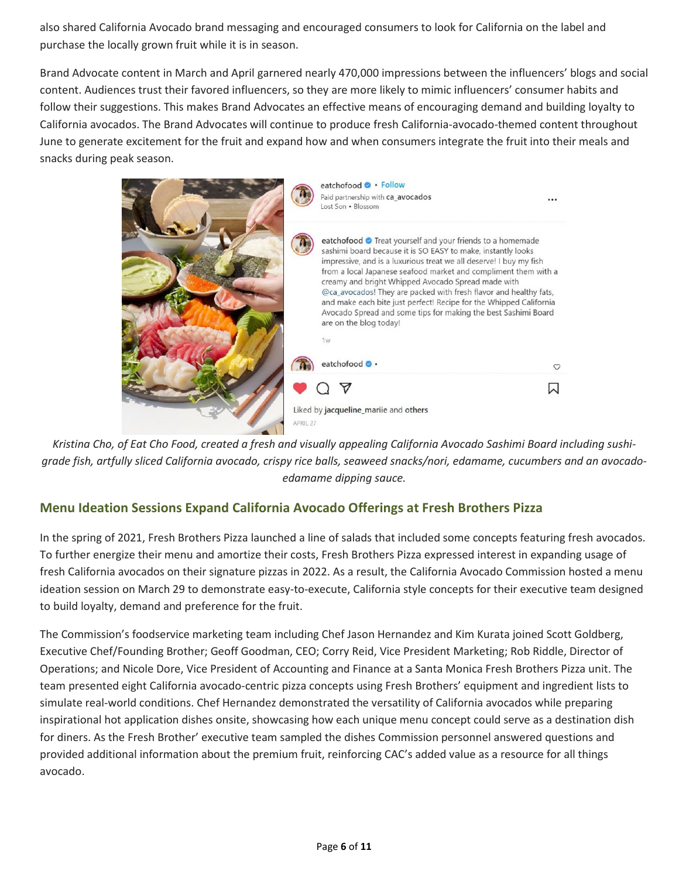also shared California Avocado brand messaging and encouraged consumers to look for California on the label and purchase the locally grown fruit while it is in season.

Brand Advocate content in March and April garnered nearly 470,000 impressions between the influencers' blogs and social content. Audiences trust their favored influencers, so they are more likely to mimic influencers' consumer habits and follow their suggestions. This makes Brand Advocates an effective means of encouraging demand and building loyalty to California avocados. The Brand Advocates will continue to produce fresh California-avocado-themed content throughout June to generate excitement for the fruit and expand how and when consumers integrate the fruit into their meals and snacks during peak season.



*Kristina Cho, of Eat Cho Food, created a fresh and visually appealing California Avocado Sashimi Board including sushigrade fish, artfully sliced California avocado, crispy rice balls, seaweed snacks/nori, edamame, cucumbers and an avocadoedamame dipping sauce.*

# <span id="page-5-0"></span>**Menu Ideation Sessions Expand California Avocado Offerings at Fresh Brothers Pizza**

In the spring of 2021, Fresh Brothers Pizza launched a line of salads that included some concepts featuring fresh avocados. To further energize their menu and amortize their costs, Fresh Brothers Pizza expressed interest in expanding usage of fresh California avocados on their signature pizzas in 2022. As a result, the California Avocado Commission hosted a menu ideation session on March 29 to demonstrate easy-to-execute, California style concepts for their executive team designed to build loyalty, demand and preference for the fruit.

The Commission's foodservice marketing team including Chef Jason Hernandez and Kim Kurata joined Scott Goldberg, Executive Chef/Founding Brother; Geoff Goodman, CEO; Corry Reid, Vice President Marketing; Rob Riddle, Director of Operations; and Nicole Dore, Vice President of Accounting and Finance at a Santa Monica Fresh Brothers Pizza unit. The team presented eight California avocado-centric pizza concepts using Fresh Brothers' equipment and ingredient lists to simulate real-world conditions. Chef Hernandez demonstrated the versatility of California avocados while preparing inspirational hot application dishes onsite, showcasing how each unique menu concept could serve as a destination dish for diners. As the Fresh Brother' executive team sampled the dishes Commission personnel answered questions and provided additional information about the premium fruit, reinforcing CAC's added value as a resource for all things avocado.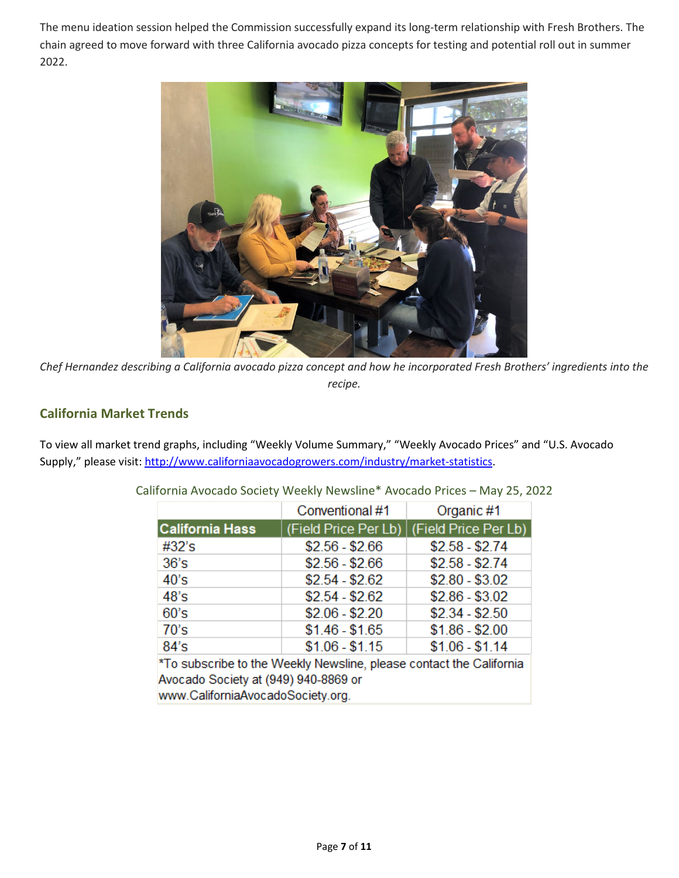The menu ideation session helped the Commission successfully expand its long-term relationship with Fresh Brothers. The chain agreed to move forward with three California avocado pizza concepts for testing and potential roll out in summer 2022.



*Chef Hernandez describing a California avocado pizza concept and how he incorporated Fresh Brothers' ingredients into the recipe.*

# <span id="page-6-0"></span>**California Market Trends**

To view all market trend graphs, including "Weekly Volume Summary," "Weekly Avocado Prices" and "U.S. Avocado Supply," please visit[: http://www.californiaavocadogrowers.com/industry/market-statistics.](http://www.californiaavocadogrowers.com/industry/market-statistics)

|                                                                                                             | Conventional #1      | Organic #1           |  |  |  |
|-------------------------------------------------------------------------------------------------------------|----------------------|----------------------|--|--|--|
| <b>California Hass</b>                                                                                      | (Field Price Per Lb) | (Field Price Per Lb) |  |  |  |
| #32's                                                                                                       | $$2.56 - $2.66$      | $$2.58 - $2.74$      |  |  |  |
| 36's                                                                                                        | $$2.56 - $2.66$      | $$2.58 - $2.74$      |  |  |  |
| 40's                                                                                                        | $$2.54 - $2.62$      | $$2.80 - $3.02$      |  |  |  |
| 48's                                                                                                        | $$2.54 - $2.62$      | $$2.86 - $3.02$      |  |  |  |
| 60's                                                                                                        | $$2.06 - $2.20$      | $$2.34 - $2.50$      |  |  |  |
| 70's                                                                                                        | $$1.46 - $1.65$      | $$1.86 - $2.00$      |  |  |  |
| 84's                                                                                                        | $$1.06 - $1.15$      | $$1.06 - $1.14$      |  |  |  |
| *To subscribe to the Weekly Newsline, please contact the California<br>Avocado Society at (949) 940-8869 or |                      |                      |  |  |  |

California Avocado Society Weekly Newsline\* Avocado Prices – May 25, 2022

www.CaliforniaAvocadoSociety.org.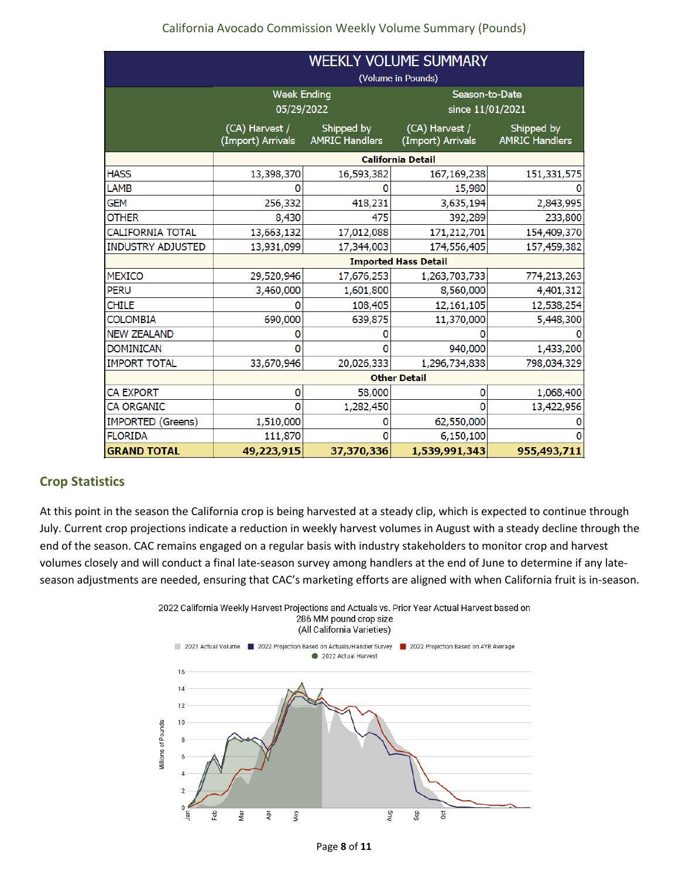## California Avocado Commission Weekly Volume Summary (Pounds)

|                          | <b>WEEKLY VOLUME SUMMARY</b>        |                                     |                                     |                                     |  |  |
|--------------------------|-------------------------------------|-------------------------------------|-------------------------------------|-------------------------------------|--|--|
|                          | (Volume in Pounds)                  |                                     |                                     |                                     |  |  |
|                          | <b>Week Ending</b>                  |                                     | Season-to-Date                      |                                     |  |  |
|                          | 05/29/2022                          |                                     | since 11/01/2021                    |                                     |  |  |
|                          | (CA) Harvest /<br>(Import) Arrivals | Shipped by<br><b>AMRIC Handlers</b> | (CA) Harvest /<br>(Import) Arrivals | Shipped by<br><b>AMRIC Handlers</b> |  |  |
|                          | <b>California Detail</b>            |                                     |                                     |                                     |  |  |
| <b>HASS</b>              | 13,398,370                          | 16,593,382                          | 167,169,238                         | 151,331,575                         |  |  |
| LAMB                     |                                     |                                     | 15,980                              |                                     |  |  |
| GEM                      | 256,332                             | 418,231                             | 3,635,194                           | 2,843,995                           |  |  |
| <b>OTHER</b>             | 8,430                               | 475                                 | 392,289                             | 233,800                             |  |  |
| CALIFORNIA TOTAL         | 13,663,132                          | 17,012,088                          | 171,212,701                         | 154,409,370                         |  |  |
| <b>INDUSTRY ADJUSTED</b> | 13,931,099                          | 17,344,003                          | 174,556,405                         | 157,459,382                         |  |  |
|                          | <b>Imported Hass Detail</b>         |                                     |                                     |                                     |  |  |
| <b>MEXICO</b>            | 29,520,946                          | 17,676,253                          | 1,263,703,733                       | 774,213,263                         |  |  |
| <b>PERU</b>              | 3,460,000                           | 1,601,800                           | 8,560,000                           | 4,401,312                           |  |  |
| <b>CHILE</b>             |                                     | 108,405                             | 12,161,105                          | 12,538,254                          |  |  |
| <b>COLOMBIA</b>          | 690,000                             | 639,875                             | 11,370,000                          | 5,448,300                           |  |  |
| <b>NEW ZEALAND</b>       |                                     | o                                   |                                     |                                     |  |  |
| <b>DOMINICAN</b>         |                                     |                                     | 940,000                             | 1,433,200                           |  |  |
| <b>IMPORT TOTAL</b>      | 33,670,946                          | 20,026,333                          | 1,296,734,838                       | 798,034,329                         |  |  |
|                          | <b>Other Detail</b>                 |                                     |                                     |                                     |  |  |
| CA EXPORT                | 0                                   | 58,000                              | 0                                   | 1,068,400                           |  |  |
| CA ORGANIC               | $\Omega$                            | 1,282,450                           | $\Omega$                            | 13,422,956                          |  |  |
| <b>IMPORTED (Greens)</b> | 1,510,000                           | 0                                   | 62,550,000                          |                                     |  |  |
| <b>FLORIDA</b>           | 111,870                             | n                                   | 6,150,100                           |                                     |  |  |
| <b>GRAND TOTAL</b>       | 49,223,915                          | 37,370,336                          | 1,539,991,343                       | 955,493,711                         |  |  |

## <span id="page-7-0"></span>**Crop Statistics**

At this point in the season the California crop is being harvested at a steady clip, which is expected to continue through July. Current crop projections indicate a reduction in weekly harvest volumes in August with a steady decline through the end of the season. CAC remains engaged on a regular basis with industry stakeholders to monitor crop and harvest volumes closely and will conduct a final late-season survey among handlers at the end of June to determine if any lateseason adjustments are needed, ensuring that CAC's marketing efforts are aligned with when California fruit is in-season.

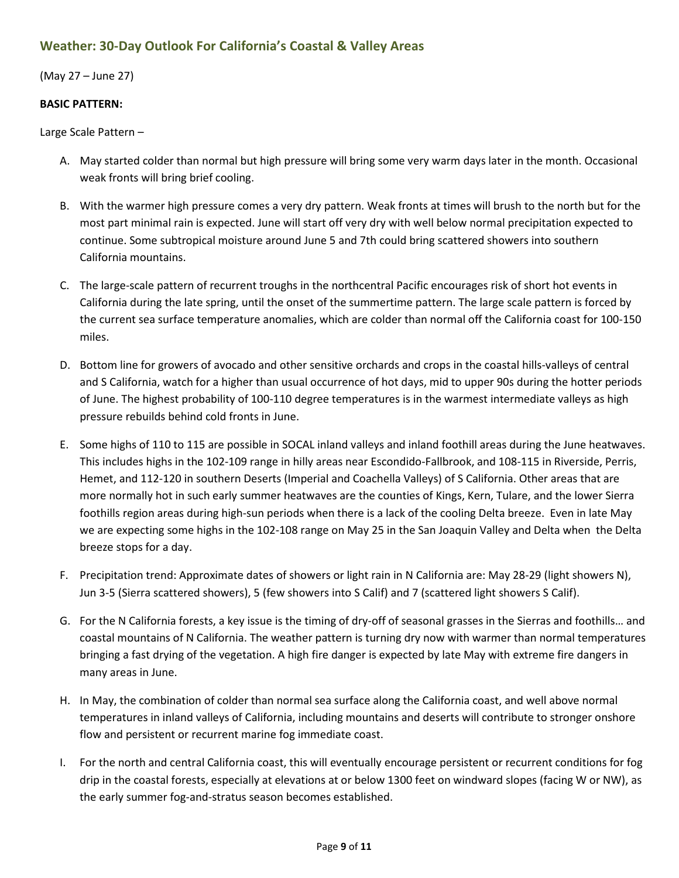## <span id="page-8-0"></span>**Weather: 30-Day Outlook For California's Coastal & Valley Areas**

(May 27 – June 27)

### **BASIC PATTERN:**

Large Scale Pattern –

- A. May started colder than normal but high pressure will bring some very warm days later in the month. Occasional weak fronts will bring brief cooling.
- B. With the warmer high pressure comes a very dry pattern. Weak fronts at times will brush to the north but for the most part minimal rain is expected. June will start off very dry with well below normal precipitation expected to continue. Some subtropical moisture around June 5 and 7th could bring scattered showers into southern California mountains.
- C. The large-scale pattern of recurrent troughs in the northcentral Pacific encourages risk of short hot events in California during the late spring, until the onset of the summertime pattern. The large scale pattern is forced by the current sea surface temperature anomalies, which are colder than normal off the California coast for 100-150 miles.
- D. Bottom line for growers of avocado and other sensitive orchards and crops in the coastal hills-valleys of central and S California, watch for a higher than usual occurrence of hot days, mid to upper 90s during the hotter periods of June. The highest probability of 100-110 degree temperatures is in the warmest intermediate valleys as high pressure rebuilds behind cold fronts in June.
- E. Some highs of 110 to 115 are possible in SOCAL inland valleys and inland foothill areas during the June heatwaves. This includes highs in the 102-109 range in hilly areas near Escondido-Fallbrook, and 108-115 in Riverside, Perris, Hemet, and 112-120 in southern Deserts (Imperial and Coachella Valleys) of S California. Other areas that are more normally hot in such early summer heatwaves are the counties of Kings, Kern, Tulare, and the lower Sierra foothills region areas during high-sun periods when there is a lack of the cooling Delta breeze. Even in late May we are expecting some highs in the 102-108 range on May 25 in the San Joaquin Valley and Delta when the Delta breeze stops for a day.
- F. Precipitation trend: Approximate dates of showers or light rain in N California are: May 28-29 (light showers N), Jun 3-5 (Sierra scattered showers), 5 (few showers into S Calif) and 7 (scattered light showers S Calif).
- G. For the N California forests, a key issue is the timing of dry-off of seasonal grasses in the Sierras and foothills… and coastal mountains of N California. The weather pattern is turning dry now with warmer than normal temperatures bringing a fast drying of the vegetation. A high fire danger is expected by late May with extreme fire dangers in many areas in June.
- H. In May, the combination of colder than normal sea surface along the California coast, and well above normal temperatures in inland valleys of California, including mountains and deserts will contribute to stronger onshore flow and persistent or recurrent marine fog immediate coast.
- I. For the north and central California coast, this will eventually encourage persistent or recurrent conditions for fog drip in the coastal forests, especially at elevations at or below 1300 feet on windward slopes (facing W or NW), as the early summer fog-and-stratus season becomes established.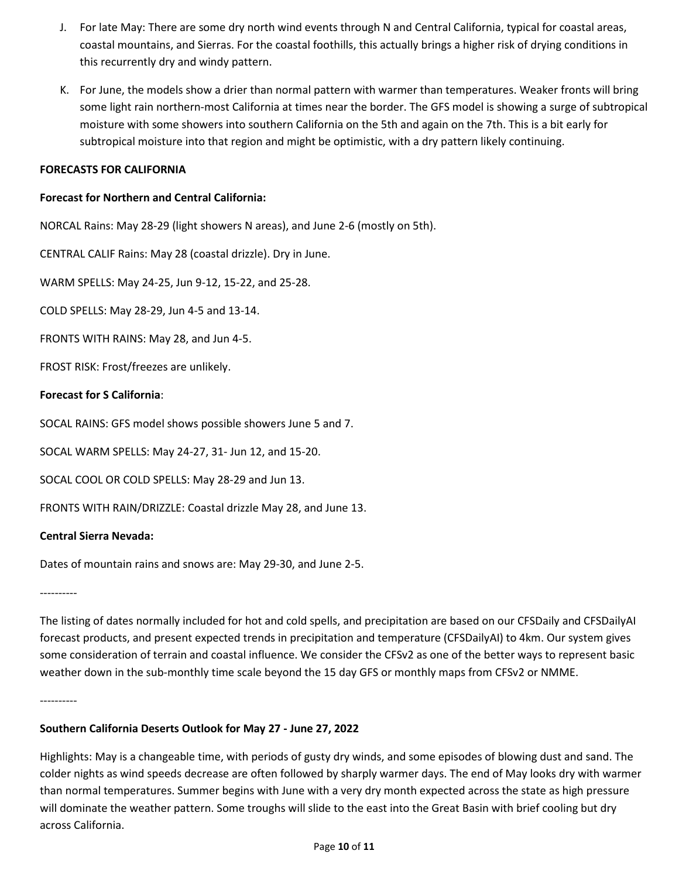- J. For late May: There are some dry north wind events through N and Central California, typical for coastal areas, coastal mountains, and Sierras. For the coastal foothills, this actually brings a higher risk of drying conditions in this recurrently dry and windy pattern.
- K. For June, the models show a drier than normal pattern with warmer than temperatures. Weaker fronts will bring some light rain northern-most California at times near the border. The GFS model is showing a surge of subtropical moisture with some showers into southern California on the 5th and again on the 7th. This is a bit early for subtropical moisture into that region and might be optimistic, with a dry pattern likely continuing.

#### **FORECASTS FOR CALIFORNIA**

#### **Forecast for Northern and Central California:**

NORCAL Rains: May 28-29 (light showers N areas), and June 2-6 (mostly on 5th).

CENTRAL CALIF Rains: May 28 (coastal drizzle). Dry in June.

WARM SPELLS: May 24-25, Jun 9-12, 15-22, and 25-28.

COLD SPELLS: May 28-29, Jun 4-5 and 13-14.

FRONTS WITH RAINS: May 28, and Jun 4-5.

FROST RISK: Frost/freezes are unlikely.

### **Forecast for S California**:

SOCAL RAINS: GFS model shows possible showers June 5 and 7.

SOCAL WARM SPELLS: May 24-27, 31- Jun 12, and 15-20.

SOCAL COOL OR COLD SPELLS: May 28-29 and Jun 13.

FRONTS WITH RAIN/DRIZZLE: Coastal drizzle May 28, and June 13.

### **Central Sierra Nevada:**

Dates of mountain rains and snows are: May 29-30, and June 2-5.

----------

The listing of dates normally included for hot and cold spells, and precipitation are based on our CFSDaily and CFSDailyAI forecast products, and present expected trends in precipitation and temperature (CFSDailyAI) to 4km. Our system gives some consideration of terrain and coastal influence. We consider the CFSv2 as one of the better ways to represent basic weather down in the sub-monthly time scale beyond the 15 day GFS or monthly maps from CFSv2 or NMME.

----------

### **Southern California Deserts Outlook for May 27 - June 27, 2022**

Highlights: May is a changeable time, with periods of gusty dry winds, and some episodes of blowing dust and sand. The colder nights as wind speeds decrease are often followed by sharply warmer days. The end of May looks dry with warmer than normal temperatures. Summer begins with June with a very dry month expected across the state as high pressure will dominate the weather pattern. Some troughs will slide to the east into the Great Basin with brief cooling but dry across California.